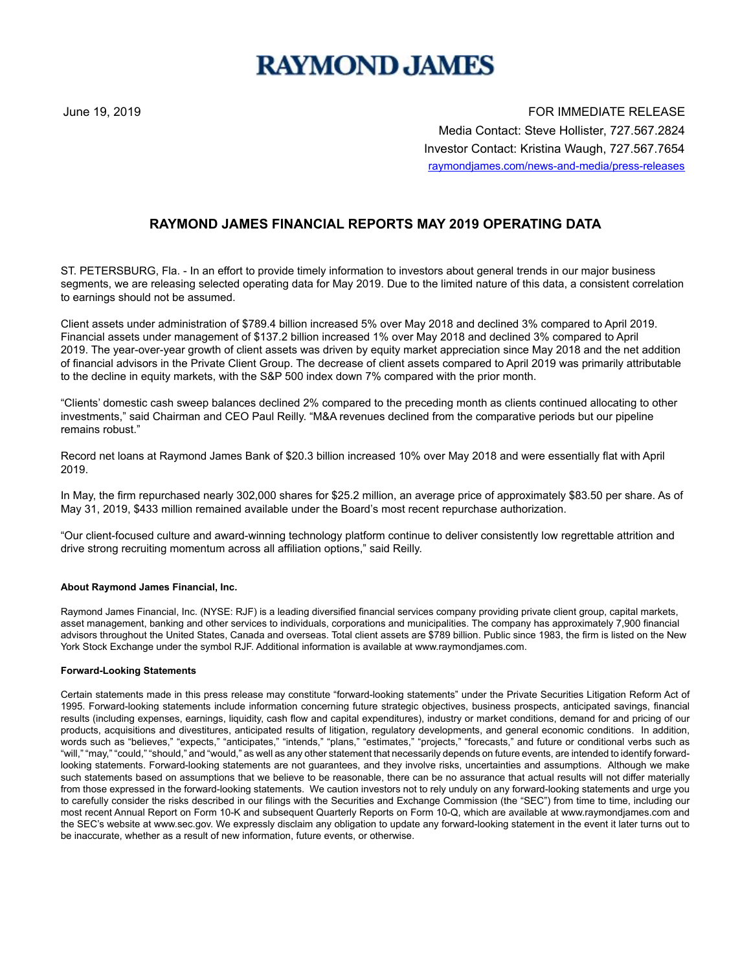# **RAYMOND JAMES**

June 19, 2019 FOR IMMEDIATE RELEASE Media Contact: Steve Hollister, 727.567.2824 Investor Contact: Kristina Waugh, 727.567.7654 raymondjames.com/news-and-media/press-releases

## **RAYMOND JAMES FINANCIAL REPORTS MAY 2019 OPERATING DATA**

ST. PETERSBURG, Fla. - In an effort to provide timely information to investors about general trends in our major business segments, we are releasing selected operating data for May 2019. Due to the limited nature of this data, a consistent correlation to earnings should not be assumed.

Client assets under administration of \$789.4 billion increased 5% over May 2018 and declined 3% compared to April 2019. Financial assets under management of \$137.2 billion increased 1% over May 2018 and declined 3% compared to April 2019. The year-over-year growth of client assets was driven by equity market appreciation since May 2018 and the net addition of financial advisors in the Private Client Group. The decrease of client assets compared to April 2019 was primarily attributable to the decline in equity markets, with the S&P 500 index down 7% compared with the prior month.

"Clients' domestic cash sweep balances declined 2% compared to the preceding month as clients continued allocating to other investments," said Chairman and CEO Paul Reilly. "M&A revenues declined from the comparative periods but our pipeline remains robust."

Record net loans at Raymond James Bank of \$20.3 billion increased 10% over May 2018 and were essentially flat with April 2019.

In May, the firm repurchased nearly 302,000 shares for \$25.2 million, an average price of approximately \$83.50 per share. As of May 31, 2019, \$433 million remained available under the Board's most recent repurchase authorization.

"Our client-focused culture and award-winning technology platform continue to deliver consistently low regrettable attrition and drive strong recruiting momentum across all affiliation options," said Reilly.

#### **About Raymond James Financial, Inc.**

Raymond James Financial, Inc. (NYSE: RJF) is a leading diversified financial services company providing private client group, capital markets, asset management, banking and other services to individuals, corporations and municipalities. The company has approximately 7,900 financial advisors throughout the United States, Canada and overseas. Total client assets are \$789 billion. Public since 1983, the firm is listed on the New York Stock Exchange under the symbol RJF. Additional information is available at www.raymondjames.com.

#### **Forward-Looking Statements**

Certain statements made in this press release may constitute "forward-looking statements" under the Private Securities Litigation Reform Act of 1995. Forward-looking statements include information concerning future strategic objectives, business prospects, anticipated savings, financial results (including expenses, earnings, liquidity, cash flow and capital expenditures), industry or market conditions, demand for and pricing of our products, acquisitions and divestitures, anticipated results of litigation, regulatory developments, and general economic conditions. In addition, words such as "believes," "expects," "anticipates," "intends," "plans," "estimates," "projects," "forecasts," and future or conditional verbs such as "will," "may," "could," "should," and "would," as well as any other statement that necessarily depends on future events, are intended to identify forwardlooking statements. Forward-looking statements are not guarantees, and they involve risks, uncertainties and assumptions. Although we make such statements based on assumptions that we believe to be reasonable, there can be no assurance that actual results will not differ materially from those expressed in the forward-looking statements. We caution investors not to rely unduly on any forward-looking statements and urge you to carefully consider the risks described in our filings with the Securities and Exchange Commission (the "SEC") from time to time, including our most recent Annual Report on Form 10-K and subsequent Quarterly Reports on Form 10-Q, which are available at www.raymondjames.com and the SEC's website at www.sec.gov. We expressly disclaim any obligation to update any forward-looking statement in the event it later turns out to be inaccurate, whether as a result of new information, future events, or otherwise.